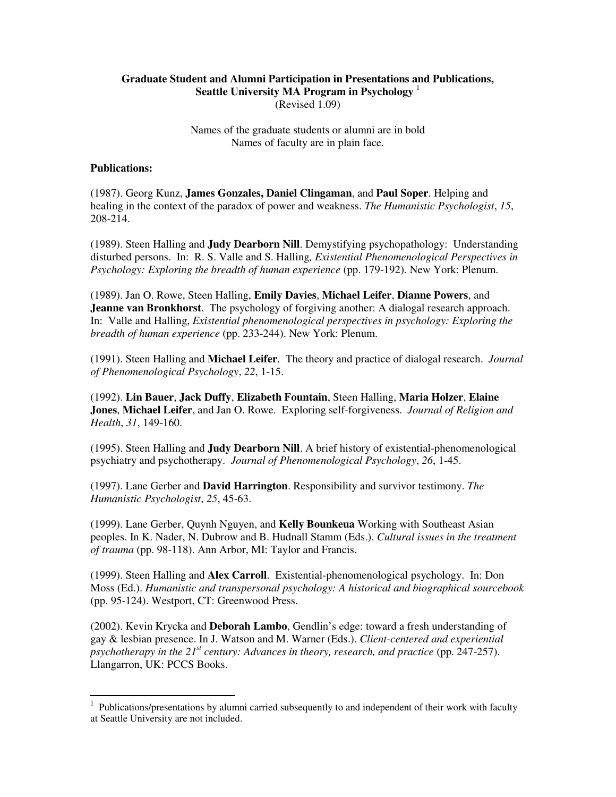## **Graduate Student and Alumni Participation in Presentations and Publications, Seattle University MA Program in Psychology** <sup>1</sup> (Revised 1.09)

Names of the graduate students or alumni are in bold Names of faculty are in plain face.

## **Publications:**

(1987). Georg Kunz, **James Gonzales, Daniel Clingaman**, and **Paul Soper**. Helping and healing in the context of the paradox of power and weakness. *The Humanistic Psychologist*, *15*, 208-214.

(1989). Steen Halling and **Judy Dearborn Nill**. Demystifying psychopathology: Understanding disturbed persons. In: R. S. Valle and S. Halling*, Existential Phenomenological Perspectives in Psychology: Exploring the breadth of human experience* (pp. 179-192). New York: Plenum.

(1989). Jan O. Rowe, Steen Halling, **Emily Davies**, **Michael Leifer**, **Dianne Powers**, and **Jeanne van Bronkhorst**. The psychology of forgiving another: A dialogal research approach. In: Valle and Halling, *Existential phenomenological perspectives in psychology: Exploring the breadth of human experience* (pp. 233-244). New York: Plenum.

(1991). Steen Halling and **Michael Leifer**. The theory and practice of dialogal research. *Journal of Phenomenological Psychology*, *22*, 1-15.

(1992). **Lin Bauer**, **Jack Duffy**, **Elizabeth Fountain**, Steen Halling, **Maria Holzer**, **Elaine Jones**, **Michael Leifer**, and Jan O. Rowe. Exploring self-forgiveness. *Journal of Religion and Health*, *31*, 149-160.

(1995). Steen Halling and **Judy Dearborn Nill**. A brief history of existential-phenomenological psychiatry and psychotherapy. *Journal of Phenomenological Psychology*, *26*, 1-45.

(1997). Lane Gerber and **David Harrington**. Responsibility and survivor testimony. *The Humanistic Psychologist*, *25*, 45-63.

(1999). Lane Gerber, Quynh Nguyen, and **Kelly Bounkeua** Working with Southeast Asian peoples. In K. Nader, N. Dubrow and B. Hudnall Stamm (Eds.). *Cultural issues in the treatment of trauma* (pp. 98-118). Ann Arbor, MI: Taylor and Francis.

(1999). Steen Halling and **Alex Carroll**. Existential-phenomenological psychology. In: Don Moss (Ed.). *Humanistic and transpersonal psychology: A historical and biographical sourcebook* (pp. 95-124). Westport, CT: Greenwood Press.

(2002). Kevin Krycka and **Deborah Lambo**, Gendlin's edge: toward a fresh understanding of gay & lesbian presence. In J. Watson and M. Warner (Eds.). *Client-centered and experiential psychotherapy in the 21st century: Advances in theory, research, and practice* (pp. 247-257). Llangarron, UK: PCCS Books.

 1 Publications/presentations by alumni carried subsequently to and independent of their work with faculty at Seattle University are not included.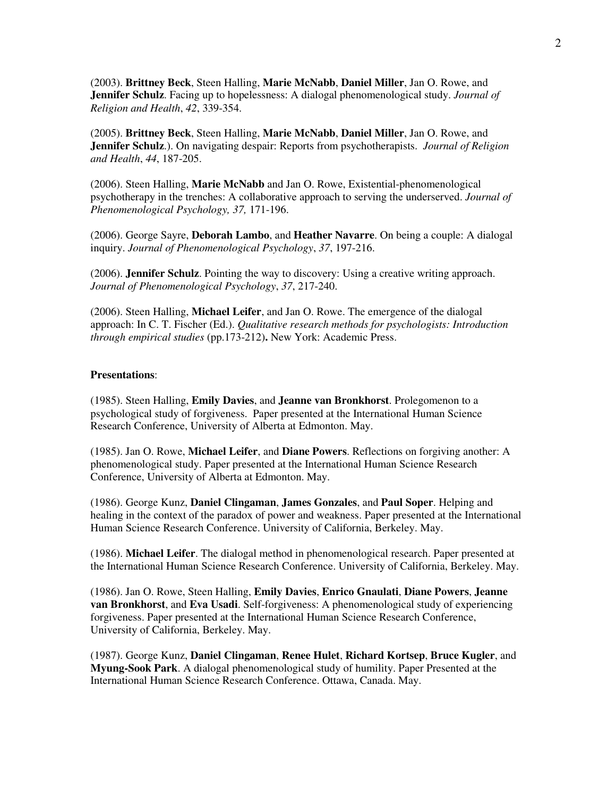(2003). **Brittney Beck**, Steen Halling, **Marie McNabb**, **Daniel Miller**, Jan O. Rowe, and **Jennifer Schulz**. Facing up to hopelessness: A dialogal phenomenological study. *Journal of Religion and Health*, *42*, 339-354.

(2005). **Brittney Beck**, Steen Halling, **Marie McNabb**, **Daniel Miller**, Jan O. Rowe, and **Jennifer Schulz**.). On navigating despair: Reports from psychotherapists. *Journal of Religion and Health*, *44*, 187-205.

(2006). Steen Halling, **Marie McNabb** and Jan O. Rowe, Existential-phenomenological psychotherapy in the trenches: A collaborative approach to serving the underserved. *Journal of Phenomenological Psychology, 37,* 171-196.

(2006). George Sayre, **Deborah Lambo**, and **Heather Navarre**. On being a couple: A dialogal inquiry. *Journal of Phenomenological Psychology*, *37*, 197-216.

(2006). **Jennifer Schulz**. Pointing the way to discovery: Using a creative writing approach. *Journal of Phenomenological Psychology*, *37*, 217-240.

(2006). Steen Halling, **Michael Leifer**, and Jan O. Rowe. The emergence of the dialogal approach: In C. T. Fischer (Ed.). *Qualitative research methods for psychologists: Introduction through empirical studies* (pp.173-212)**.** New York: Academic Press.

## **Presentations**:

(1985). Steen Halling, **Emily Davies**, and **Jeanne van Bronkhorst**. Prolegomenon to a psychological study of forgiveness. Paper presented at the International Human Science Research Conference, University of Alberta at Edmonton. May.

(1985). Jan O. Rowe, **Michael Leifer**, and **Diane Powers**. Reflections on forgiving another: A phenomenological study. Paper presented at the International Human Science Research Conference, University of Alberta at Edmonton. May.

(1986). George Kunz, **Daniel Clingaman**, **James Gonzales**, and **Paul Soper**. Helping and healing in the context of the paradox of power and weakness. Paper presented at the International Human Science Research Conference. University of California, Berkeley. May.

(1986). **Michael Leifer**. The dialogal method in phenomenological research. Paper presented at the International Human Science Research Conference. University of California, Berkeley. May.

(1986). Jan O. Rowe, Steen Halling, **Emily Davies**, **Enrico Gnaulati**, **Diane Powers**, **Jeanne van Bronkhorst**, and **Eva Usadi**. Self-forgiveness: A phenomenological study of experiencing forgiveness. Paper presented at the International Human Science Research Conference, University of California, Berkeley. May.

(1987). George Kunz, **Daniel Clingaman**, **Renee Hulet**, **Richard Kortsep**, **Bruce Kugler**, and **Myung-Sook Park**. A dialogal phenomenological study of humility. Paper Presented at the International Human Science Research Conference. Ottawa, Canada. May.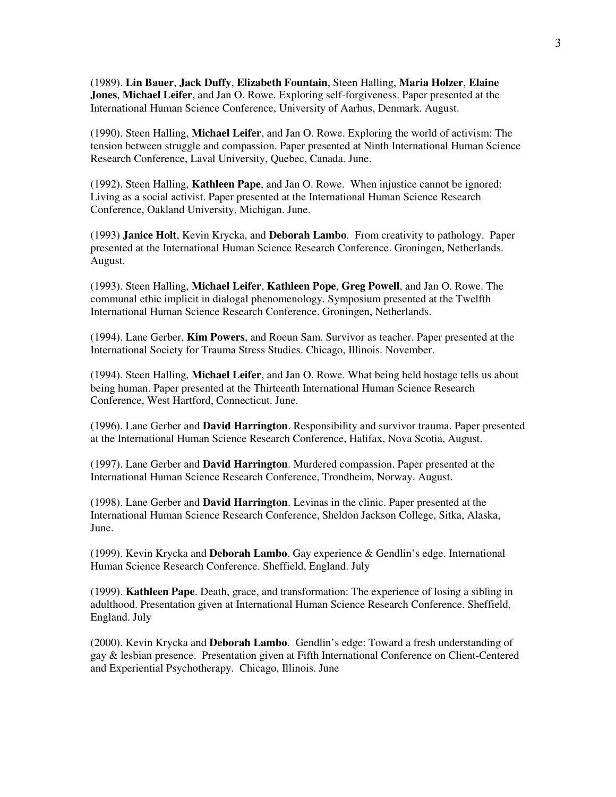(1989). **Lin Bauer**, **Jack Duffy**, **Elizabeth Fountain**, Steen Halling, **Maria Holzer**, **Elaine Jones**, **Michael Leifer**, and Jan O. Rowe. Exploring self-forgiveness. Paper presented at the International Human Science Conference, University of Aarhus, Denmark. August.

(1990). Steen Halling, **Michael Leifer**, and Jan O. Rowe. Exploring the world of activism: The tension between struggle and compassion. Paper presented at Ninth International Human Science Research Conference, Laval University, Quebec, Canada. June.

(1992). Steen Halling, **Kathleen Pape**, and Jan O. Rowe. When injustice cannot be ignored: Living as a social activist. Paper presented at the International Human Science Research Conference, Oakland University, Michigan. June.

(1993) **Janice Holt**, Kevin Krycka, and **Deborah Lambo**. From creativity to pathology. Paper presented at the International Human Science Research Conference. Groningen, Netherlands. August.

(1993). Steen Halling, **Michael Leifer**, **Kathleen Pope**, **Greg Powell**, and Jan O. Rowe. The communal ethic implicit in dialogal phenomenology. Symposium presented at the Twelfth International Human Science Research Conference. Groningen, Netherlands.

(1994). Lane Gerber, **Kim Powers**, and Roeun Sam. Survivor as teacher. Paper presented at the International Society for Trauma Stress Studies. Chicago, Illinois. November.

(1994). Steen Halling, **Michael Leifer**, and Jan O. Rowe. What being held hostage tells us about being human. Paper presented at the Thirteenth International Human Science Research Conference, West Hartford, Connecticut. June.

(1996). Lane Gerber and **David Harrington**. Responsibility and survivor trauma. Paper presented at the International Human Science Research Conference, Halifax, Nova Scotia, August.

(1997). Lane Gerber and **David Harrington**. Murdered compassion. Paper presented at the International Human Science Research Conference, Trondheim, Norway. August.

(1998). Lane Gerber and **David Harrington**. Levinas in the clinic. Paper presented at the International Human Science Research Conference, Sheldon Jackson College, Sitka, Alaska, June.

(1999). Kevin Krycka and **Deborah Lambo**. Gay experience & Gendlin's edge. International Human Science Research Conference. Sheffield, England. July

(1999). **Kathleen Pape**. Death, grace, and transformation: The experience of losing a sibling in adulthood. Presentation given at International Human Science Research Conference. Sheffield, England. July

(2000). Kevin Krycka and **Deborah Lambo**. Gendlin's edge: Toward a fresh understanding of gay & lesbian presence. Presentation given at Fifth International Conference on Client-Centered and Experiential Psychotherapy. Chicago, Illinois. June